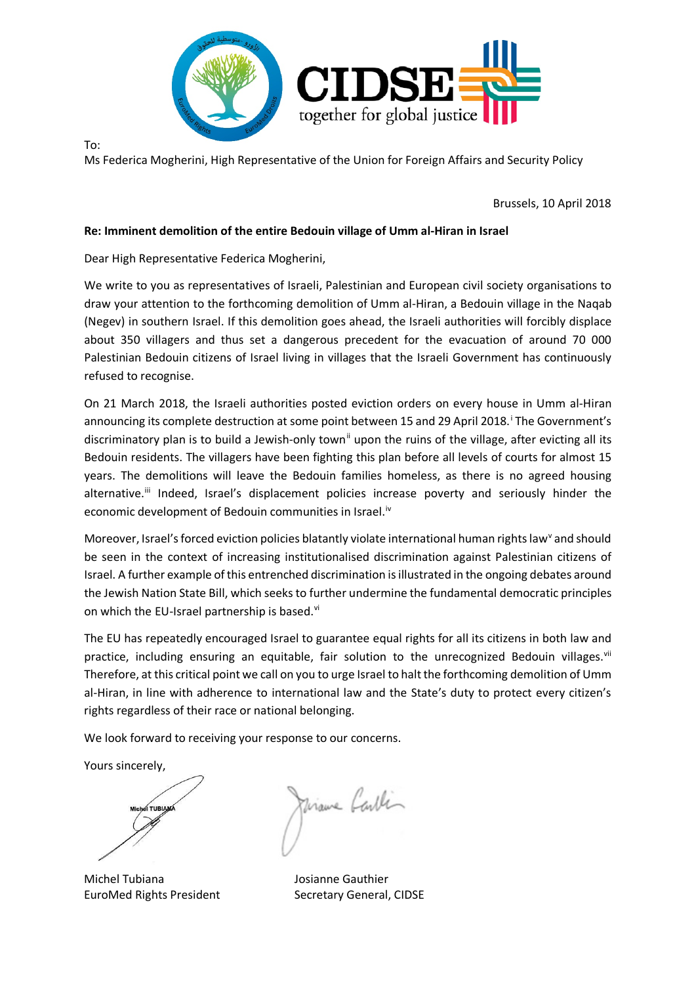

To:

Ms Federica Mogherini, High Representative of the Union for Foreign Affairs and Security Policy

Brussels, 10 April 2018

## **Re: Imminent demolition of the entire Bedouin village of Umm al-Hiran in Israel**

Dear High Representative Federica Mogherini,

We write to you as representatives of Israeli, Palestinian and European civil society organisations to draw your attention to the forthcoming demolition of Umm al-Hiran, a Bedouin village in the Naqab (Negev) in southern Israel. If this demolition goes ahead, the Israeli authorities will forcibly displace about 350 villagers and thus set a dangerous precedent for the evacuation of around 70 000 Palestinian Bedouin citizens of Israel living in villages that the Israeli Government has continuously refused to recognise.

On 21 March 2018, the Israeli authorities posted eviction orders on every house in Umm al-Hiran announcing its complete destruction at some point between 15 and 29 April 2018. [i](#page-1-0) The Government's discriminatory plan is to build a Jewish-only town<sup>[ii](#page-1-1)</sup> upon the ruins of the village, after evicting all its Bedouin residents. The villagers have been fighting this plan before all levels of courts for almost 15 years. The demolitions will leave the Bedouin families homeless, as there is no agreed housing alternative.<sup>ii</sup> Indeed, Israel's displacement policies increase poverty and seriously hinder the economic development of Bedouin communities in Israel.<sup>[iv](#page-1-3)</sup>

Moreo[v](#page-1-4)er, Israel's forced eviction policies blatantly violate international human rights law<sup>v</sup> and should be seen in the context of increasing institutionalised discrimination against Palestinian citizens of Israel. A further example of this entrenched discrimination isillustrated in the ongoing debates around the Jewish Nation State Bill, which seeks to further undermine the fundamental democratic principles on which the EU-Israel partnership is based.<sup>[vi](#page-1-5)</sup>

The EU has repeatedly encouraged Israel to guarantee equal rights for all its citizens in both law and practice, including ensuring an equitable, fair solution to the unrecognized Bedouin villages.<sup>[vii](#page-1-6)</sup> Therefore, at this critical point we call on you to urge Israel to halt the forthcoming demolition of Umm al-Hiran, in line with adherence to international law and the State's duty to protect every citizen's rights regardless of their race or national belonging.

We look forward to receiving your response to our concerns.

Yours sincerely,

**TUBIAN** 

Viame Carlin

Michel Tubiana Josianne Gauthier EuroMed Rights President Secretary General, CIDSE